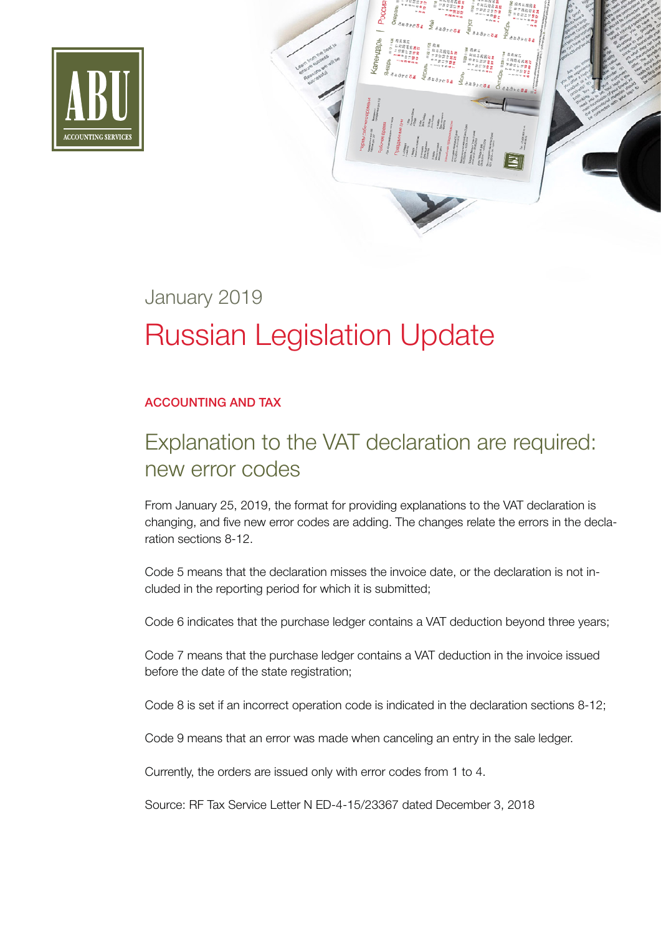

# January 2019 Russian Legislation Update

#### ACCOUNTING AND TAX

## Explanation to the VAT declaration are required: new error codes

From January 25, 2019, the format for providing explanations to the VAT declaration is changing, and five new error codes are adding. The changes relate the errors in the declaration sections 8-12.

Code 5 means that the declaration misses the invoice date, or the declaration is not included in the reporting period for which it is submitted;

Code 6 indicates that the purchase ledger contains a VAT deduction beyond three years;

Code 7 means that the purchase ledger contains a VAT deduction in the invoice issued before the date of the state registration;

Code 8 is set if an incorrect operation code is indicated in the declaration sections 8-12;

Code 9 means that an error was made when canceling an entry in the sale ledger.

Currently, the orders are issued only with error codes from 1 to 4.

Source: RF Tax Service Letter N ED-4-15/23367 dated December 3, 2018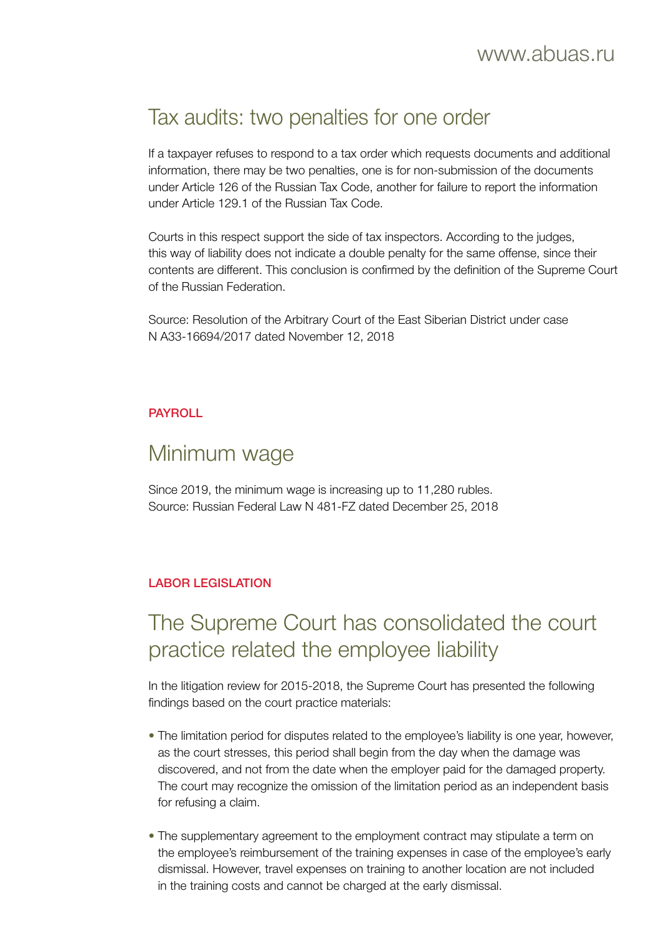### Tax audits: two penalties for one order

If a taxpayer refuses to respond to a tax order which requests documents and additional information, there may be two penalties, one is for non-submission of the documents under Article 126 of the Russian Tax Code, another for failure to report the information under Article 129.1 of the Russian Tax Code.

Courts in this respect support the side of tax inspectors. According to the judges, this way of liability does not indicate a double penalty for the same offense, since their contents are different. This conclusion is confirmed by the definition of the Supreme Court of the Russian Federation.

Source: Resolution of the Arbitrary Court of the East Siberian District under case N А33-16694/2017 dated November 12, 2018

#### PAYROLL

#### Minimum wage

Since 2019, the minimum wage is increasing up to 11,280 rubles. Source: Russian Federal Law N 481-FZ dated December 25, 2018

#### LABOR LEGISLATION

### The Supreme Court has consolidated the court practice related the employee liability

In the litigation review for 2015-2018, the Supreme Court has presented the following findings based on the court practice materials:

- The limitation period for disputes related to the employee's liability is one year, however, as the court stresses, this period shall begin from the day when the damage was discovered, and not from the date when the employer paid for the damaged property. The court may recognize the omission of the limitation period as an independent basis for refusing a claim.
- The supplementary agreement to the employment contract may stipulate a term on the employee's reimbursement of the training expenses in case of the employee's early dismissal. However, travel expenses on training to another location are not included in the training costs and cannot be charged at the early dismissal.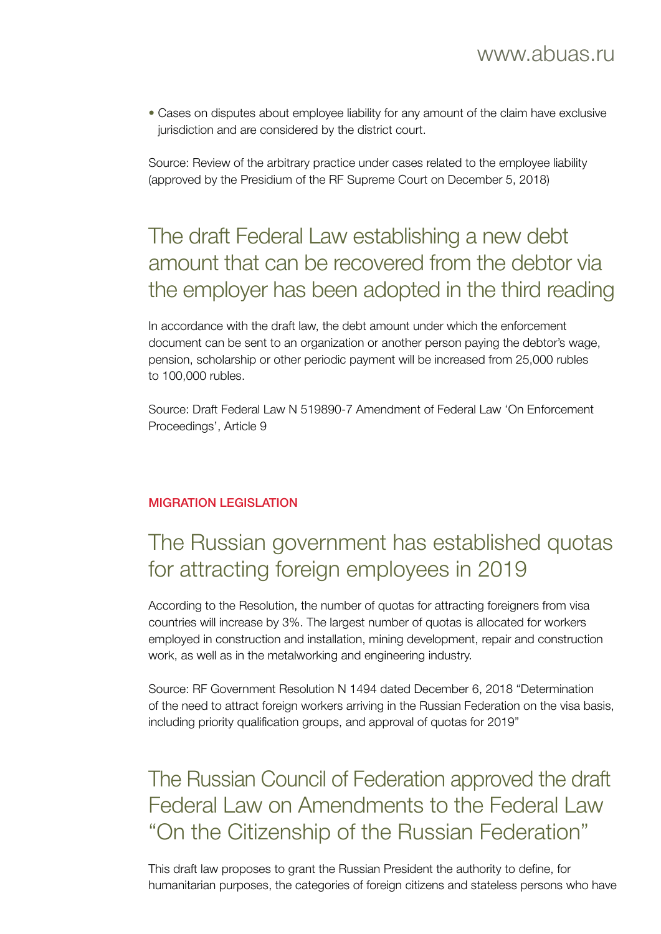• Cases on disputes about employee liability for any amount of the claim have exclusive jurisdiction and are considered by the district court.

Source: Review of the arbitrary practice under cases related to the employee liability (approved by the Presidium of the RF Supreme Court on December 5, 2018)

### The draft Federal Law establishing a new debt amount that can be recovered from the debtor via the employer has been adopted in the third reading

In accordance with the draft law, the debt amount under which the enforcement document can be sent to an organization or another person paying the debtor's wage, pension, scholarship or other periodic payment will be increased from 25,000 rubles to 100,000 rubles.

Source: Draft Federal Law N 519890-7 Amendment of Federal Law 'On Enforcement Proceedings', Article 9

#### MIGRATION LEGISLATION

## The Russian government has established quotas for attracting foreign employees in 2019

According to the Resolution, the number of quotas for attracting foreigners from visa countries will increase by 3%. The largest number of quotas is allocated for workers employed in construction and installation, mining development, repair and construction work, as well as in the metalworking and engineering industry.

Source: RF Government Resolution N 1494 dated December 6, 2018 "Determination of the need to attract foreign workers arriving in the Russian Federation on the visa basis, including priority qualification groups, and approval of quotas for 2019"

### The Russian Council of Federation approved the draft Federal Law on Amendments to the Federal Law "On the Citizenship of the Russian Federation"

This draft law proposes to grant the Russian President the authority to define, for humanitarian purposes, the categories of foreign citizens and stateless persons who have